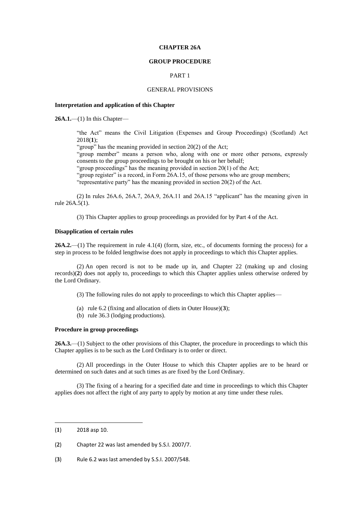### **CHAPTER 26A**

#### **GROUP PROCEDURE**

## PART 1

### GENERAL PROVISIONS

### **Interpretation and application of this Chapter**

**26A.1.**—(1) In this Chapter—

"the Act" means the Civil Litigation (Expenses and Group Proceedings) (Scotland) Act 2018(**1**);

"group" has the meaning provided in section  $20(2)$  of the Act;

"group member" means a person who, along with one or more other persons, expressly consents to the group proceedings to be brought on his or her behalf;

"group proceedings" has the meaning provided in section 20(1) of the Act;

"group register" is a record, in Form 26A.15, of those persons who are group members;

"representative party" has the meaning provided in section 20(2) of the Act.

(2) In rules 26A.6, 26A.7, 26A.9, 26A.11 and 26A.15 "applicant" has the meaning given in rule 26A.5(1).

(3) This Chapter applies to group proceedings as provided for by Part 4 of the Act.

### **Disapplication of certain rules**

**26A.2.**—(1) The requirement in rule 4.1(4) (form, size, etc., of documents forming the process) for a step in process to be folded lengthwise does not apply in proceedings to which this Chapter applies.

(2) An open record is not to be made up in, and Chapter 22 (making up and closing records)(**2**) does not apply to, proceedings to which this Chapter applies unless otherwise ordered by the Lord Ordinary.

(3) The following rules do not apply to proceedings to which this Chapter applies—

- (a) rule 6.2 (fixing and allocation of diets in Outer House)(**3**);
- (b) rule 36.3 (lodging productions).

## **Procedure in group proceedings**

**26A.3.**—(1) Subject to the other provisions of this Chapter, the procedure in proceedings to which this Chapter applies is to be such as the Lord Ordinary is to order or direct.

(2) All proceedings in the Outer House to which this Chapter applies are to be heard or determined on such dates and at such times as are fixed by the Lord Ordinary.

(3) The fixing of a hearing for a specified date and time in proceedings to which this Chapter applies does not affect the right of any party to apply by motion at any time under these rules.

**.** 

<sup>(</sup>**1**) 2018 asp 10.

<sup>(</sup>**2**) Chapter 22 was last amended by S.S.I. 2007/7.

<sup>(</sup>**3**) Rule 6.2 was last amended by S.S.I. 2007/548.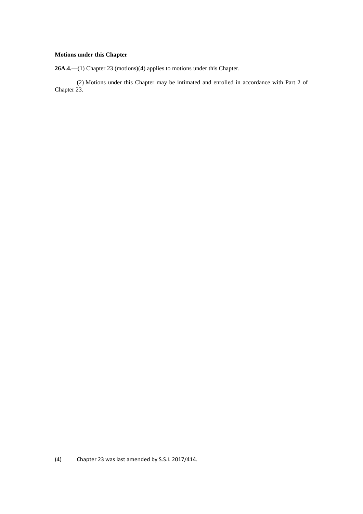# **Motions under this Chapter**

**26A.4.**—(1) Chapter 23 (motions)(**4**) applies to motions under this Chapter.

(2) Motions under this Chapter may be intimated and enrolled in accordance with Part 2 of Chapter 23.

 $(4)$ (**4**) Chapter 23 was last amended by S.S.I. 2017/414.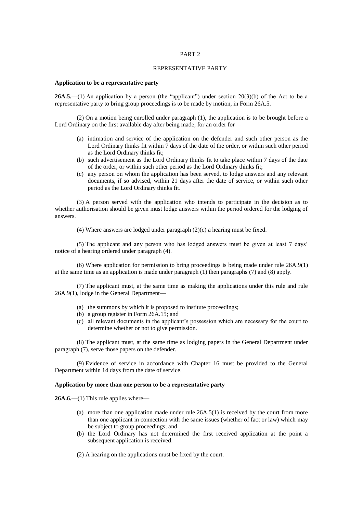#### REPRESENTATIVE PARTY

#### **Application to be a representative party**

26A.5.—(1) An application by a person (the "applicant") under section 20(3)(b) of the Act to be a representative party to bring group proceedings is to be made by motion, in Form 26A.5.

(2) On a motion being enrolled under paragraph (1), the application is to be brought before a Lord Ordinary on the first available day after being made, for an order for-

- (a) intimation and service of the application on the defender and such other person as the Lord Ordinary thinks fit within 7 days of the date of the order, or within such other period as the Lord Ordinary thinks fit;
- (b) such advertisement as the Lord Ordinary thinks fit to take place within 7 days of the date of the order, or within such other period as the Lord Ordinary thinks fit;
- (c) any person on whom the application has been served, to lodge answers and any relevant documents, if so advised, within 21 days after the date of service, or within such other period as the Lord Ordinary thinks fit.

(3) A person served with the application who intends to participate in the decision as to whether authorisation should be given must lodge answers within the period ordered for the lodging of answers.

(4) Where answers are lodged under paragraph (2)(c) a hearing must be fixed.

(5) The applicant and any person who has lodged answers must be given at least 7 days' notice of a hearing ordered under paragraph (4).

(6) Where application for permission to bring proceedings is being made under rule 26A.9(1) at the same time as an application is made under paragraph (1) then paragraphs (7) and (8) apply.

(7) The applicant must, at the same time as making the applications under this rule and rule 26A.9(1), lodge in the General Department—

- (a) the summons by which it is proposed to institute proceedings;
- (b) a group register in Form 26A.15; and
- (c) all relevant documents in the applicant's possession which are necessary for the court to determine whether or not to give permission.

(8) The applicant must, at the same time as lodging papers in the General Department under paragraph (7), serve those papers on the defender.

(9) Evidence of service in accordance with Chapter 16 must be provided to the General Department within 14 days from the date of service.

## **Application by more than one person to be a representative party**

**26A.6.**—(1) This rule applies where—

- (a) more than one application made under rule  $26A.5(1)$  is received by the court from more than one applicant in connection with the same issues (whether of fact or law) which may be subject to group proceedings; and
- (b) the Lord Ordinary has not determined the first received application at the point a subsequent application is received.
- (2) A hearing on the applications must be fixed by the court.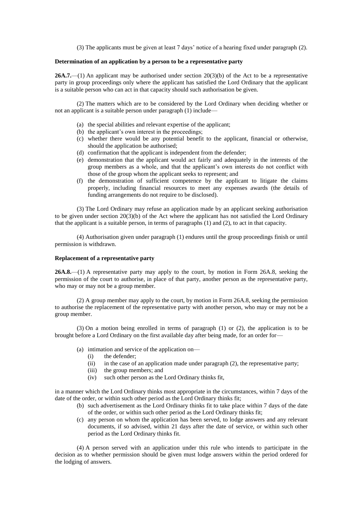(3) The applicants must be given at least 7 days' notice of a hearing fixed under paragraph (2).

### **Determination of an application by a person to be a representative party**

**26A.7.**—(1) An applicant may be authorised under section 20(3)(b) of the Act to be a representative party in group proceedings only where the applicant has satisfied the Lord Ordinary that the applicant is a suitable person who can act in that capacity should such authorisation be given.

(2) The matters which are to be considered by the Lord Ordinary when deciding whether or not an applicant is a suitable person under paragraph (1) include—

- (a) the special abilities and relevant expertise of the applicant;
- (b) the applicant's own interest in the proceedings;
- (c) whether there would be any potential benefit to the applicant, financial or otherwise, should the application be authorised:
- (d) confirmation that the applicant is independent from the defender;
- (e) demonstration that the applicant would act fairly and adequately in the interests of the group members as a whole, and that the applicant's own interests do not conflict with those of the group whom the applicant seeks to represent; and
- (f) the demonstration of sufficient competence by the applicant to litigate the claims properly, including financial resources to meet any expenses awards (the details of funding arrangements do not require to be disclosed).

(3) The Lord Ordinary may refuse an application made by an applicant seeking authorisation to be given under section  $20(3)(b)$  of the Act where the applicant has not satisfied the Lord Ordinary that the applicant is a suitable person, in terms of paragraphs (1) and (2), to act in that capacity.

(4) Authorisation given under paragraph (1) endures until the group proceedings finish or until permission is withdrawn.

### **Replacement of a representative party**

**26A.8.**—(1) A representative party may apply to the court, by motion in Form 26A.8, seeking the permission of the court to authorise, in place of that party, another person as the representative party, who may or may not be a group member.

(2) A group member may apply to the court, by motion in Form 26A.8, seeking the permission to authorise the replacement of the representative party with another person, who may or may not be a group member.

(3) On a motion being enrolled in terms of paragraph (1) or (2), the application is to be brought before a Lord Ordinary on the first available day after being made, for an order for—

- (a) intimation and service of the application on—
	- (i) the defender;
	- (ii) in the case of an application made under paragraph (2), the representative party;
	- (iii) the group members; and
	- (iv) such other person as the Lord Ordinary thinks fit,

in a manner which the Lord Ordinary thinks most appropriate in the circumstances, within 7 days of the date of the order, or within such other period as the Lord Ordinary thinks fit;

- (b) such advertisement as the Lord Ordinary thinks fit to take place within 7 days of the date of the order, or within such other period as the Lord Ordinary thinks fit;
- (c) any person on whom the application has been served, to lodge answers and any relevant documents, if so advised, within 21 days after the date of service, or within such other period as the Lord Ordinary thinks fit.

(4) A person served with an application under this rule who intends to participate in the decision as to whether permission should be given must lodge answers within the period ordered for the lodging of answers.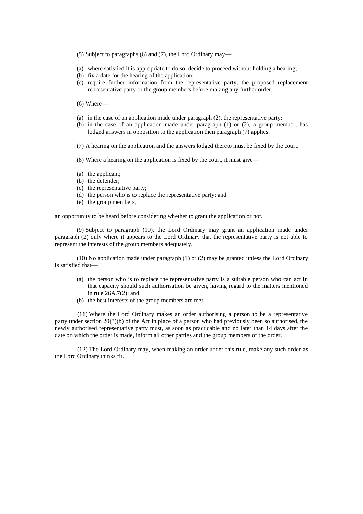- (5) Subject to paragraphs (6) and (7), the Lord Ordinary may—
- (a) where satisfied it is appropriate to do so, decide to proceed without holding a hearing;
- (b) fix a date for the hearing of the application;
- (c) require further information from the representative party, the proposed replacement representative party or the group members before making any further order.
- (6) Where—
- (a) in the case of an application made under paragraph (2), the representative party;
- (b) in the case of an application made under paragraph (1) or (2), a group member, has lodged answers in opposition to the application then paragraph (7) applies.
- (7) A hearing on the application and the answers lodged thereto must be fixed by the court.
- (8) Where a hearing on the application is fixed by the court, it must give—
- (a) the applicant;
- (b) the defender;
- (c) the representative party;
- (d) the person who is to replace the representative party; and
- (e) the group members,

an opportunity to be heard before considering whether to grant the application or not.

(9) Subject to paragraph (10), the Lord Ordinary may grant an application made under paragraph (2) only where it appears to the Lord Ordinary that the representative party is not able to represent the interests of the group members adequately.

(10) No application made under paragraph (1) or (2) may be granted unless the Lord Ordinary is satisfied that—

- (a) the person who is to replace the representative party is a suitable person who can act in that capacity should such authorisation be given, having regard to the matters mentioned in rule 26A.7(2); and
- (b) the best interests of the group members are met.

(11) Where the Lord Ordinary makes an order authorising a person to be a representative party under section 20(3)(b) of the Act in place of a person who had previously been so authorised, the newly authorised representative party must, as soon as practicable and no later than 14 days after the date on which the order is made, inform all other parties and the group members of the order.

(12) The Lord Ordinary may, when making an order under this rule, make any such order as the Lord Ordinary thinks fit.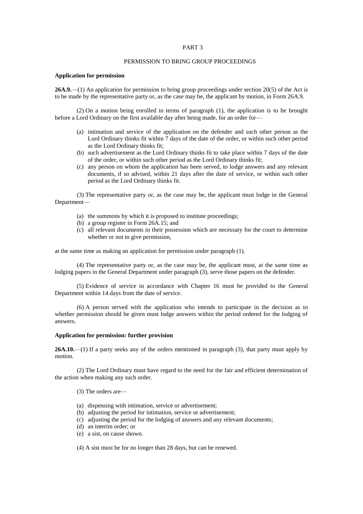#### PERMISSION TO BRING GROUP PROCEEDINGS

#### **Application for permission**

**26A.9.**—(1) An application for permission to bring group proceedings under section 20(5) of the Act is to be made by the representative party or, as the case may be, the applicant by motion, in Form 26A.9.

(2) On a motion being enrolled in terms of paragraph (1), the application is to be brought before a Lord Ordinary on the first available day after being made, for an order for—

- (a) intimation and service of the application on the defender and such other person as the Lord Ordinary thinks fit within 7 days of the date of the order, or within such other period as the Lord Ordinary thinks fit;
- (b) such advertisement as the Lord Ordinary thinks fit to take place within 7 days of the date of the order, or within such other period as the Lord Ordinary thinks fit;
- (c) any person on whom the application has been served, to lodge answers and any relevant documents, if so advised, within 21 days after the date of service, or within such other period as the Lord Ordinary thinks fit.

(3) The representative party or, as the case may be, the applicant must lodge in the General Department—

- (a) the summons by which it is proposed to institute proceedings;
- (b) a group register in Form 26A.15; and
- (c) all relevant documents in their possession which are necessary for the court to determine whether or not to give permission,

at the same time as making an application for permission under paragraph (1).

(4) The representative party or, as the case may be, the applicant must, at the same time as lodging papers in the General Department under paragraph (3), serve those papers on the defender.

(5) Evidence of service in accordance with Chapter 16 must be provided to the General Department within 14 days from the date of service.

(6) A person served with the application who intends to participate in the decision as to whether permission should be given must lodge answers within the period ordered for the lodging of answers.

#### **Application for permission: further provision**

**26A.10.**—(1) If a party seeks any of the orders mentioned in paragraph (3), that party must apply by motion.

(2) The Lord Ordinary must have regard to the need for the fair and efficient determination of the action when making any such order.

(3) The orders are—

- (a) dispensing with intimation, service or advertisement;
- (b) adjusting the period for intimation, service or advertisement;
- (c) adjusting the period for the lodging of answers and any relevant documents;
- (d) an interim order; or
- (e) a sist, on cause shown.

(4) A sist must be for no longer than 28 days, but can be renewed.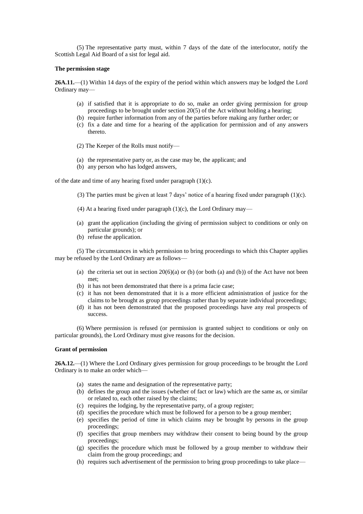(5) The representative party must, within 7 days of the date of the interlocutor, notify the Scottish Legal Aid Board of a sist for legal aid.

#### **The permission stage**

**26A.11.**—(1) Within 14 days of the expiry of the period within which answers may be lodged the Lord Ordinary may—

- (a) if satisfied that it is appropriate to do so, make an order giving permission for group proceedings to be brought under section 20(5) of the Act without holding a hearing;
- (b) require further information from any of the parties before making any further order; or
- (c) fix a date and time for a hearing of the application for permission and of any answers thereto.
- (2) The Keeper of the Rolls must notify—
- (a) the representative party or, as the case may be, the applicant; and
- (b) any person who has lodged answers,

of the date and time of any hearing fixed under paragraph  $(1)(c)$ .

- (3) The parties must be given at least 7 days' notice of a hearing fixed under paragraph (1)(c).
- (4) At a hearing fixed under paragraph  $(1)(c)$ , the Lord Ordinary may—
- (a) grant the application (including the giving of permission subject to conditions or only on particular grounds); or
- (b) refuse the application.

(5) The circumstances in which permission to bring proceedings to which this Chapter applies may be refused by the Lord Ordinary are as follows—

- (a) the criteria set out in section  $20(6)(a)$  or (b) (or both (a) and (b)) of the Act have not been met;
- (b) it has not been demonstrated that there is a prima facie case;
- (c) it has not been demonstrated that it is a more efficient administration of justice for the claims to be brought as group proceedings rather than by separate individual proceedings;
- (d) it has not been demonstrated that the proposed proceedings have any real prospects of success.

(6) Where permission is refused (or permission is granted subject to conditions or only on particular grounds), the Lord Ordinary must give reasons for the decision.

#### **Grant of permission**

**26A.12.**—(1) Where the Lord Ordinary gives permission for group proceedings to be brought the Lord Ordinary is to make an order which—

- (a) states the name and designation of the representative party;
- (b) defines the group and the issues (whether of fact or law) which are the same as, or similar or related to, each other raised by the claims;
- (c) requires the lodging, by the representative party, of a group register;
- (d) specifies the procedure which must be followed for a person to be a group member;
- (e) specifies the period of time in which claims may be brought by persons in the group proceedings;
- (f) specifies that group members may withdraw their consent to being bound by the group proceedings;
- (g) specifies the procedure which must be followed by a group member to withdraw their claim from the group proceedings; and
- (h) requires such advertisement of the permission to bring group proceedings to take place—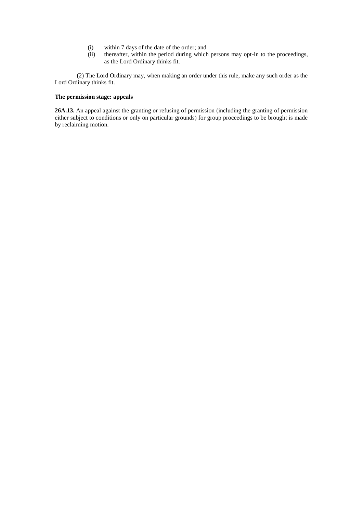- (i) within 7 days of the date of the order; and
- (ii) thereafter, within the period during which persons may opt-in to the proceedings, as the Lord Ordinary thinks fit.

(2) The Lord Ordinary may, when making an order under this rule, make any such order as the Lord Ordinary thinks fit.

# **The permission stage: appeals**

**26A.13.** An appeal against the granting or refusing of permission (including the granting of permission either subject to conditions or only on particular grounds) for group proceedings to be brought is made by reclaiming motion.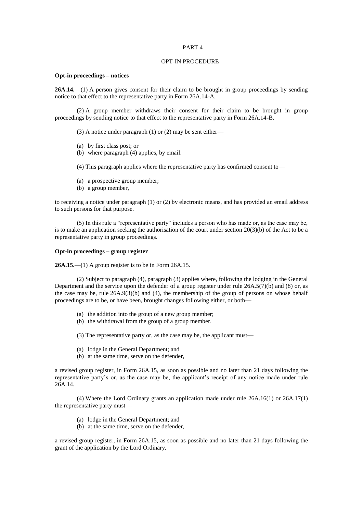#### OPT-IN PROCEDURE

#### **Opt-in proceedings – notices**

**26A.14.**—(1) A person gives consent for their claim to be brought in group proceedings by sending notice to that effect to the representative party in Form 26A.14-A.

(2) A group member withdraws their consent for their claim to be brought in group proceedings by sending notice to that effect to the representative party in Form 26A.14-B.

(3) A notice under paragraph (1) or (2) may be sent either—

- (a) by first class post; or
- (b) where paragraph (4) applies, by email.
- (4) This paragraph applies where the representative party has confirmed consent to—
- (a) a prospective group member;
- (b) a group member,

to receiving a notice under paragraph (1) or (2) by electronic means, and has provided an email address to such persons for that purpose.

(5) In this rule a "representative party" includes a person who has made or, as the case may be, is to make an application seeking the authorisation of the court under section 20(3)(b) of the Act to be a representative party in group proceedings.

### **Opt-in proceedings – group register**

**26A.15.**—(1) A group register is to be in Form 26A.15.

(2) Subject to paragraph (4), paragraph (3) applies where, following the lodging in the General Department and the service upon the defender of a group register under rule 26A.5(7)(b) and (8) or, as the case may be, rule  $26A.9(3)(b)$  and (4), the membership of the group of persons on whose behalf proceedings are to be, or have been, brought changes following either, or both—

- (a) the addition into the group of a new group member;
- (b) the withdrawal from the group of a group member.

(3) The representative party or, as the case may be, the applicant must—

- (a) lodge in the General Department; and
- (b) at the same time, serve on the defender,

a revised group register, in Form 26A.15, as soon as possible and no later than 21 days following the representative party's or, as the case may be, the applicant's receipt of any notice made under rule  $26A.14.$ 

(4) Where the Lord Ordinary grants an application made under rule 26A.16(1) or 26A.17(1) the representative party must—

- (a) lodge in the General Department; and
- (b) at the same time, serve on the defender,

a revised group register, in Form 26A.15, as soon as possible and no later than 21 days following the grant of the application by the Lord Ordinary.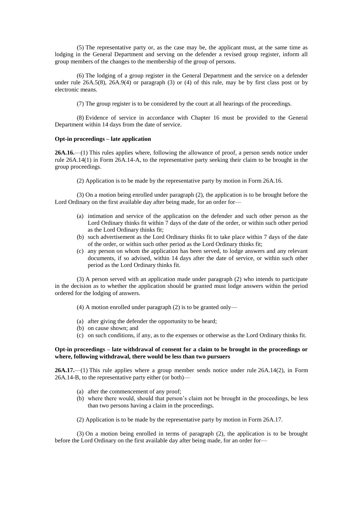(5) The representative party or, as the case may be, the applicant must, at the same time as lodging in the General Department and serving on the defender a revised group register, inform all group members of the changes to the membership of the group of persons.

(6) The lodging of a group register in the General Department and the service on a defender under rule 26A.5(8), 26A.9(4) or paragraph (3) or (4) of this rule, may be by first class post or by electronic means.

(7) The group register is to be considered by the court at all hearings of the proceedings.

(8) Evidence of service in accordance with Chapter 16 must be provided to the General Department within 14 days from the date of service.

### **Opt-in proceedings – late application**

**26A.16.**—(1) This rules applies where, following the allowance of proof, a person sends notice under rule 26A.14(1) in Form 26A.14-A, to the representative party seeking their claim to be brought in the group proceedings.

(2) Application is to be made by the representative party by motion in Form 26A.16.

(3) On a motion being enrolled under paragraph (2), the application is to be brought before the Lord Ordinary on the first available day after being made, for an order for—

- (a) intimation and service of the application on the defender and such other person as the Lord Ordinary thinks fit within 7 days of the date of the order, or within such other period as the Lord Ordinary thinks fit;
- (b) such advertisement as the Lord Ordinary thinks fit to take place within 7 days of the date of the order, or within such other period as the Lord Ordinary thinks fit;
- (c) any person on whom the application has been served, to lodge answers and any relevant documents, if so advised, within 14 days after the date of service, or within such other period as the Lord Ordinary thinks fit.

(3) A person served with an application made under paragraph (2) who intends to participate in the decision as to whether the application should be granted must lodge answers within the period ordered for the lodging of answers.

- (4) A motion enrolled under paragraph (2) is to be granted only—
- (a) after giving the defender the opportunity to be heard;
- (b) on cause shown; and
- (c) on such conditions, if any, as to the expenses or otherwise as the Lord Ordinary thinks fit.

#### **Opt-in proceedings – late withdrawal of consent for a claim to be brought in the proceedings or where, following withdrawal, there would be less than two pursuers**

**26A.17.**—(1) This rule applies where a group member sends notice under rule 26A.14(2), in Form 26A.14-B, to the representative party either (or both)—

- (a) after the commencement of any proof;
- (b) where there would, should that person's claim not be brought in the proceedings, be less than two persons having a claim in the proceedings.

(2) Application is to be made by the representative party by motion in Form 26A.17.

(3) On a motion being enrolled in terms of paragraph (2), the application is to be brought before the Lord Ordinary on the first available day after being made, for an order for—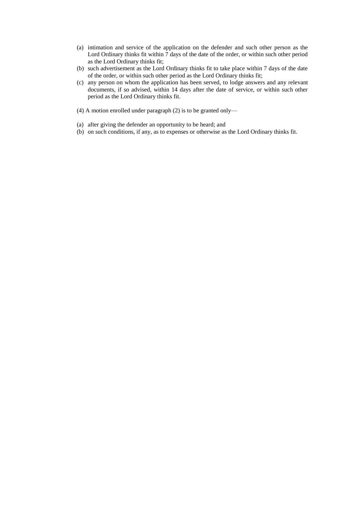- (a) intimation and service of the application on the defender and such other person as the Lord Ordinary thinks fit within 7 days of the date of the order, or within such other period as the Lord Ordinary thinks fit;
- (b) such advertisement as the Lord Ordinary thinks fit to take place within 7 days of the date of the order, or within such other period as the Lord Ordinary thinks fit;
- (c) any person on whom the application has been served, to lodge answers and any relevant documents, if so advised, within 14 days after the date of service, or within such other period as the Lord Ordinary thinks fit.
- (4) A motion enrolled under paragraph (2) is to be granted only—
- (a) after giving the defender an opportunity to be heard; and
- (b) on such conditions, if any, as to expenses or otherwise as the Lord Ordinary thinks fit.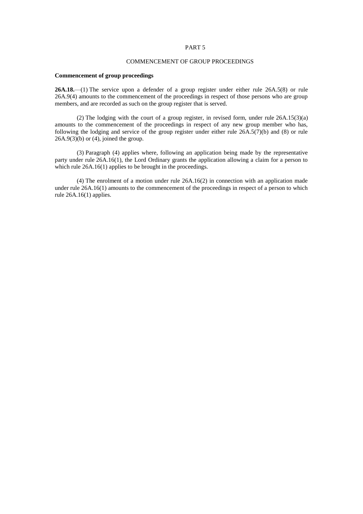### COMMENCEMENT OF GROUP PROCEEDINGS

#### **Commencement of group proceedings**

**26A.18.**—(1) The service upon a defender of a group register under either rule 26A.5(8) or rule 26A.9(4) amounts to the commencement of the proceedings in respect of those persons who are group members, and are recorded as such on the group register that is served.

(2) The lodging with the court of a group register, in revised form, under rule 26A.15(3)(a) amounts to the commencement of the proceedings in respect of any new group member who has, following the lodging and service of the group register under either rule  $26\overline{A}$ .5(7)(b) and (8) or rule  $26A.9(3)(b)$  or (4), joined the group.

(3) Paragraph (4) applies where, following an application being made by the representative party under rule 26A.16(1), the Lord Ordinary grants the application allowing a claim for a person to which rule 26A.16(1) applies to be brought in the proceedings.

(4) The enrolment of a motion under rule 26A.16(2) in connection with an application made under rule 26A.16(1) amounts to the commencement of the proceedings in respect of a person to which rule 26A.16(1) applies.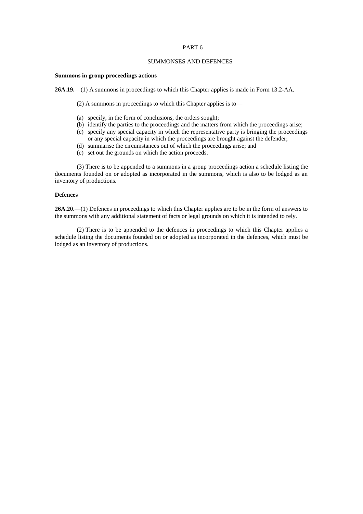### SUMMONSES AND DEFENCES

#### **Summons in group proceedings actions**

**26A.19.**—(1) A summons in proceedings to which this Chapter applies is made in Form 13.2-AA.

(2) A summons in proceedings to which this Chapter applies is to—

- (a) specify, in the form of conclusions, the orders sought;
- (b) identify the parties to the proceedings and the matters from which the proceedings arise;
- (c) specify any special capacity in which the representative party is bringing the proceedings or any special capacity in which the proceedings are brought against the defender;
- (d) summarise the circumstances out of which the proceedings arise; and
- (e) set out the grounds on which the action proceeds.

(3) There is to be appended to a summons in a group proceedings action a schedule listing the documents founded on or adopted as incorporated in the summons, which is also to be lodged as an inventory of productions.

### **Defences**

**26A.20.**—(1) Defences in proceedings to which this Chapter applies are to be in the form of answers to the summons with any additional statement of facts or legal grounds on which it is intended to rely.

(2) There is to be appended to the defences in proceedings to which this Chapter applies a schedule listing the documents founded on or adopted as incorporated in the defences, which must be lodged as an inventory of productions.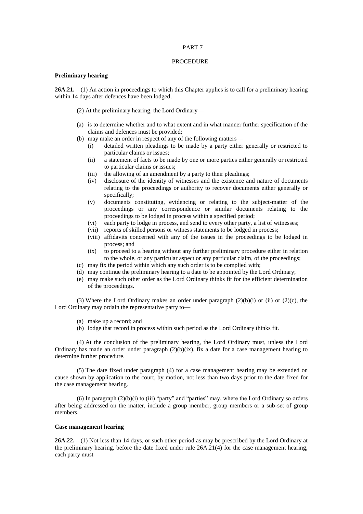#### PROCEDURE

#### **Preliminary hearing**

**26A.21.**—(1) An action in proceedings to which this Chapter applies is to call for a preliminary hearing within 14 days after defences have been lodged.

(2) At the preliminary hearing, the Lord Ordinary—

- (a) is to determine whether and to what extent and in what manner further specification of the claims and defences must be provided;
- (b) may make an order in respect of any of the following matters—
	- (i) detailed written pleadings to be made by a party either generally or restricted to particular claims or issues;
	- (ii) a statement of facts to be made by one or more parties either generally or restricted to particular claims or issues;
	- (iii) the allowing of an amendment by a party to their pleadings;
	- (iv) disclosure of the identity of witnesses and the existence and nature of documents relating to the proceedings or authority to recover documents either generally or specifically;
	- (v) documents constituting, evidencing or relating to the subject-matter of the proceedings or any correspondence or similar documents relating to the proceedings to be lodged in process within a specified period;
	- (vi) each party to lodge in process, and send to every other party, a list of witnesses;
	- (vii) reports of skilled persons or witness statements to be lodged in process;
	- (viii) affidavits concerned with any of the issues in the proceedings to be lodged in process; and
	- (ix) to proceed to a hearing without any further preliminary procedure either in relation to the whole, or any particular aspect or any particular claim, of the proceedings;
- (c) may fix the period within which any such order is to be complied with;
- (d) may continue the preliminary hearing to a date to be appointed by the Lord Ordinary;
- (e) may make such other order as the Lord Ordinary thinks fit for the efficient determination of the proceedings.

(3) Where the Lord Ordinary makes an order under paragraph  $(2)(b)(i)$  or (ii) or  $(2)(c)$ , the Lord Ordinary may ordain the representative party to—

- (a) make up a record; and
- (b) lodge that record in process within such period as the Lord Ordinary thinks fit.

(4) At the conclusion of the preliminary hearing, the Lord Ordinary must, unless the Lord Ordinary has made an order under paragraph  $(2)(b)(ix)$ , fix a date for a case management hearing to determine further procedure.

(5) The date fixed under paragraph (4) for a case management hearing may be extended on cause shown by application to the court, by motion, not less than two days prior to the date fixed for the case management hearing.

(6) In paragraph  $(2)(b)(i)$  to (iii) "party" and "parties" may, where the Lord Ordinary so orders after being addressed on the matter, include a group member, group members or a sub-set of group members.

## **Case management hearing**

**26A.22.**—(1) Not less than 14 days, or such other period as may be prescribed by the Lord Ordinary at the preliminary hearing, before the date fixed under rule 26A.21(4) for the case management hearing, each party must—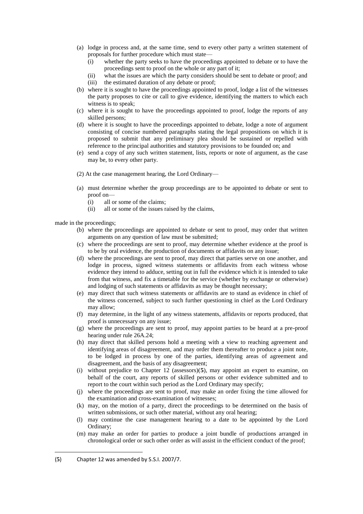- (a) lodge in process and, at the same time, send to every other party a written statement of proposals for further procedure which must state—
	- (i) whether the party seeks to have the proceedings appointed to debate or to have the proceedings sent to proof on the whole or any part of it;
	- (ii) what the issues are which the party considers should be sent to debate or proof; and
	- (iii) the estimated duration of any debate or proof;
- (b) where it is sought to have the proceedings appointed to proof, lodge a list of the witnesses the party proposes to cite or call to give evidence, identifying the matters to which each witness is to speak;
- (c) where it is sought to have the proceedings appointed to proof, lodge the reports of any skilled persons;
- (d) where it is sought to have the proceedings appointed to debate, lodge a note of argument consisting of concise numbered paragraphs stating the legal propositions on which it is proposed to submit that any preliminary plea should be sustained or repelled with reference to the principal authorities and statutory provisions to be founded on; and
- (e) send a copy of any such written statement, lists, reports or note of argument, as the case may be, to every other party.
- (2) At the case management hearing, the Lord Ordinary—
- (a) must determine whether the group proceedings are to be appointed to debate or sent to proof on—
	- (i) all or some of the claims;
	- (ii) all or some of the issues raised by the claims,

made in the proceedings;

- (b) where the proceedings are appointed to debate or sent to proof, may order that written arguments on any question of law must be submitted;
- (c) where the proceedings are sent to proof, may determine whether evidence at the proof is to be by oral evidence, the production of documents or affidavits on any issue;
- (d) where the proceedings are sent to proof, may direct that parties serve on one another, and lodge in process, signed witness statements or affidavits from each witness whose evidence they intend to adduce, setting out in full the evidence which it is intended to take from that witness, and fix a timetable for the service (whether by exchange or otherwise) and lodging of such statements or affidavits as may be thought necessary;
- (e) may direct that such witness statements or affidavits are to stand as evidence in chief of the witness concerned, subject to such further questioning in chief as the Lord Ordinary may allow;
- (f) may determine, in the light of any witness statements, affidavits or reports produced, that proof is unnecessary on any issue;
- (g) where the proceedings are sent to proof, may appoint parties to be heard at a pre-proof hearing under rule 26A.24;
- (h) may direct that skilled persons hold a meeting with a view to reaching agreement and identifying areas of disagreement, and may order them thereafter to produce a joint note, to be lodged in process by one of the parties, identifying areas of agreement and disagreement, and the basis of any disagreement;
- (i) without prejudice to Chapter 12 (assessors)(**5**), may appoint an expert to examine, on behalf of the court, any reports of skilled persons or other evidence submitted and to report to the court within such period as the Lord Ordinary may specify;
- (j) where the proceedings are sent to proof, may make an order fixing the time allowed for the examination and cross-examination of witnesses;
- (k) may, on the motion of a party, direct the proceedings to be determined on the basis of written submissions, or such other material, without any oral hearing;
- (l) may continue the case management hearing to a date to be appointed by the Lord Ordinary;
- (m) may make an order for parties to produce a joint bundle of productions arranged in chronological order or such other order as will assist in the efficient conduct of the proof;

1

<sup>(</sup>**5**) Chapter 12 was amended by S.S.I. 2007/7.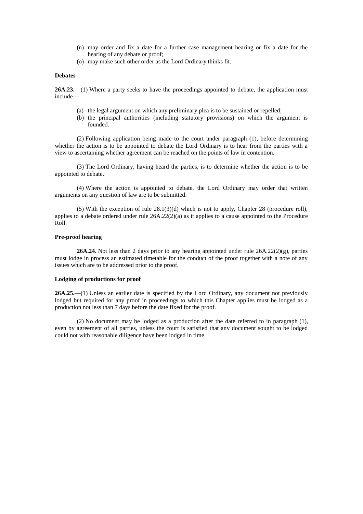- (n) may order and fix a date for a further case management hearing or fix a date for the hearing of any debate or proof;
- (o) may make such other order as the Lord Ordinary thinks fit.

#### **Debates**

**26A.23.**—(1) Where a party seeks to have the proceedings appointed to debate, the application must include—

- (a) the legal argument on which any preliminary plea is to be sustained or repelled;
- (b) the principal authorities (including statutory provisions) on which the argument is founded.

(2) Following application being made to the court under paragraph (1), before determining whether the action is to be appointed to debate the Lord Ordinary is to hear from the parties with a view to ascertaining whether agreement can be reached on the points of law in contention.

(3) The Lord Ordinary, having heard the parties, is to determine whether the action is to be appointed to debate.

(4) Where the action is appointed to debate, the Lord Ordinary may order that written arguments on any question of law are to be submitted.

(5) With the exception of rule 28.1(3)(d) which is not to apply, Chapter 28 (procedure roll), applies to a debate ordered under rule  $26A.22(2)(a)$  as it applies to a cause appointed to the Procedure Roll.

## **Pre-proof hearing**

**26A.24.** Not less than 2 days prior to any hearing appointed under rule 26A.22(2)(g), parties must lodge in process an estimated timetable for the conduct of the proof together with a note of any issues which are to be addressed prior to the proof.

### **Lodging of productions for proof**

**26A.25.**—(1) Unless an earlier date is specified by the Lord Ordinary, any document not previously lodged but required for any proof in proceedings to which this Chapter applies must be lodged as a production not less than 7 days before the date fixed for the proof.

(2) No document may be lodged as a production after the date referred to in paragraph (1), even by agreement of all parties, unless the court is satisfied that any document sought to be lodged could not with reasonable diligence have been lodged in time.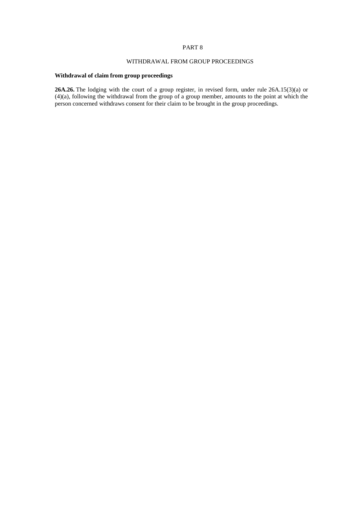# WITHDRAWAL FROM GROUP PROCEEDINGS

## **Withdrawal of claim from group proceedings**

**26A.26.** The lodging with the court of a group register, in revised form, under rule 26A.15(3)(a) or (4)(a), following the withdrawal from the group of a group member, amounts to the point at which the person concerned withdraws consent for their claim to be brought in the group proceedings.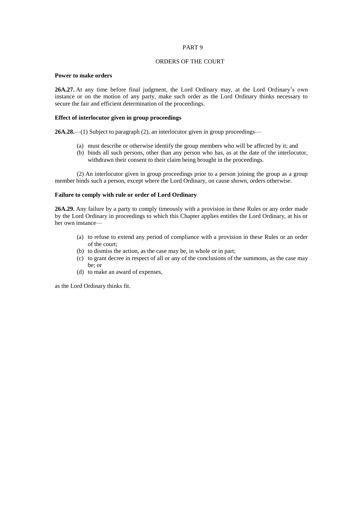### ORDERS OF THE COURT

### **Power to make orders**

**26A.27.** At any time before final judgment, the Lord Ordinary may, at the Lord Ordinary's own instance or on the motion of any party, make such order as the Lord Ordinary thinks necessary to secure the fair and efficient determination of the proceedings.

### **Effect of interlocutor given in group proceedings**

**26A.28.**—(1) Subject to paragraph (2), an interlocutor given in group proceedings—

- (a) must describe or otherwise identify the group members who will be affected by it; and
- (b) binds all such persons, other than any person who has, as at the date of the interlocutor, withdrawn their consent to their claim being brought in the proceedings.

(2) An interlocutor given in group proceedings prior to a person joining the group as a group member binds such a person, except where the Lord Ordinary, on cause shown, orders otherwise.

### **Failure to comply with rule or order of Lord Ordinary**

**26A.29.** Any failure by a party to comply timeously with a provision in these Rules or any order made by the Lord Ordinary in proceedings to which this Chapter applies entitles the Lord Ordinary, at his or her own instance—

- (a) to refuse to extend any period of compliance with a provision in these Rules or an order of the court;
- (b) to dismiss the action, as the case may be, in whole or in part;
- (c) to grant decree in respect of all or any of the conclusions of the summons, as the case may be; or
- (d) to make an award of expenses,

as the Lord Ordinary thinks fit.